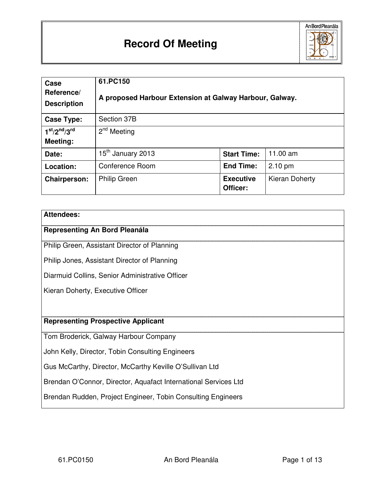

| Case<br>Reference/<br><b>Description</b> | 61.PC150<br>A proposed Harbour Extension at Galway Harbour, Galway. |                              |                |
|------------------------------------------|---------------------------------------------------------------------|------------------------------|----------------|
| <b>Case Type:</b>                        | Section 37B                                                         |                              |                |
| $1st/2nd/3rd$                            | 2 <sup>nd</sup><br>Meeting                                          |                              |                |
| Meeting:                                 |                                                                     |                              |                |
| Date:                                    | 15 <sup>th</sup> January 2013                                       | <b>Start Time:</b>           | 11.00 am       |
| Location:                                | Conference Room                                                     | <b>End Time:</b>             | $2.10$ pm      |
| <b>Chairperson:</b>                      | <b>Philip Green</b>                                                 | <b>Executive</b><br>Officer: | Kieran Doherty |

#### **Attendees:**

# **Representing An Bord Pleanála**

Philip Green, Assistant Director of Planning

Philip Jones, Assistant Director of Planning

Diarmuid Collins, Senior Administrative Officer

Kieran Doherty, Executive Officer

#### **Representing Prospective Applicant**

Tom Broderick, Galway Harbour Company

John Kelly, Director, Tobin Consulting Engineers

Gus McCarthy, Director, McCarthy Keville O'Sullivan Ltd

Brendan O'Connor, Director, Aquafact International Services Ltd

Brendan Rudden, Project Engineer, Tobin Consulting Engineers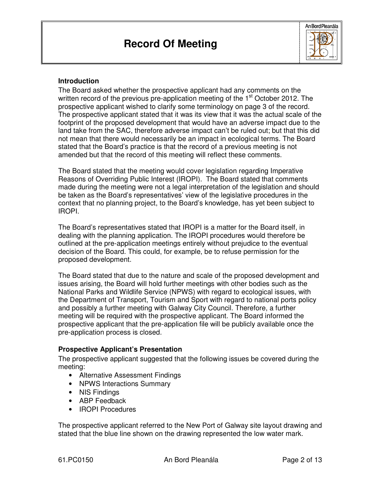

#### **Introduction**

The Board asked whether the prospective applicant had any comments on the written record of the previous pre-application meeting of the  $1<sup>st</sup>$  October 2012. The prospective applicant wished to clarify some terminology on page 3 of the record. The prospective applicant stated that it was its view that it was the actual scale of the footprint of the proposed development that would have an adverse impact due to the land take from the SAC, therefore adverse impact can't be ruled out; but that this did not mean that there would necessarily be an impact in ecological terms. The Board stated that the Board's practice is that the record of a previous meeting is not amended but that the record of this meeting will reflect these comments.

The Board stated that the meeting would cover legislation regarding Imperative Reasons of Overriding Public Interest (IROPI). The Board stated that comments made during the meeting were not a legal interpretation of the legislation and should be taken as the Board's representatives' view of the legislative procedures in the context that no planning project, to the Board's knowledge, has yet been subject to IROPI.

The Board's representatives stated that IROPI is a matter for the Board itself, in dealing with the planning application. The IROPI procedures would therefore be outlined at the pre-application meetings entirely without prejudice to the eventual decision of the Board. This could, for example, be to refuse permission for the proposed development.

The Board stated that due to the nature and scale of the proposed development and issues arising, the Board will hold further meetings with other bodies such as the National Parks and Wildlife Service (NPWS) with regard to ecological issues, with the Department of Transport, Tourism and Sport with regard to national ports policy and possibly a further meeting with Galway City Council. Therefore, a further meeting will be required with the prospective applicant. The Board informed the prospective applicant that the pre-application file will be publicly available once the pre-application process is closed.

#### **Prospective Applicant's Presentation**

The prospective applicant suggested that the following issues be covered during the meeting:

- Alternative Assessment Findings
- NPWS Interactions Summary
- NIS Findings
- ABP Feedback
- IROPI Procedures

The prospective applicant referred to the New Port of Galway site layout drawing and stated that the blue line shown on the drawing represented the low water mark.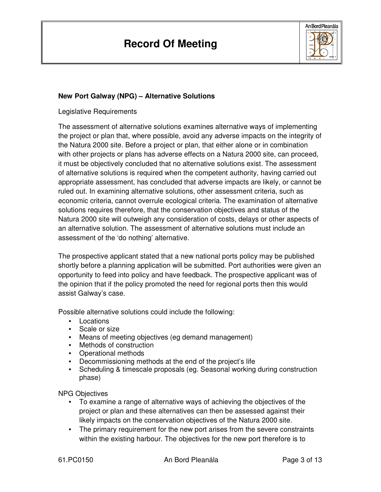

# **New Port Galway (NPG) – Alternative Solutions**

Legislative Requirements

The assessment of alternative solutions examines alternative ways of implementing the project or plan that, where possible, avoid any adverse impacts on the integrity of the Natura 2000 site. Before a project or plan, that either alone or in combination with other projects or plans has adverse effects on a Natura 2000 site, can proceed, it must be objectively concluded that no alternative solutions exist. The assessment of alternative solutions is required when the competent authority, having carried out appropriate assessment, has concluded that adverse impacts are likely, or cannot be ruled out. In examining alternative solutions, other assessment criteria, such as economic criteria, cannot overrule ecological criteria. The examination of alternative solutions requires therefore, that the conservation objectives and status of the Natura 2000 site will outweigh any consideration of costs, delays or other aspects of an alternative solution. The assessment of alternative solutions must include an assessment of the 'do nothing' alternative.

The prospective applicant stated that a new national ports policy may be published shortly before a planning application will be submitted. Port authorities were given an opportunity to feed into policy and have feedback. The prospective applicant was of the opinion that if the policy promoted the need for regional ports then this would assist Galway's case.

Possible alternative solutions could include the following:

- Locations
- Scale or size
- Means of meeting objectives (eg demand management)
- Methods of construction
- Operational methods
- Decommissioning methods at the end of the project's life
- Scheduling & timescale proposals (eg. Seasonal working during construction phase)

NPG Objectives

- To examine a range of alternative ways of achieving the objectives of the project or plan and these alternatives can then be assessed against their likely impacts on the conservation objectives of the Natura 2000 site.
- The primary requirement for the new port arises from the severe constraints within the existing harbour. The objectives for the new port therefore is to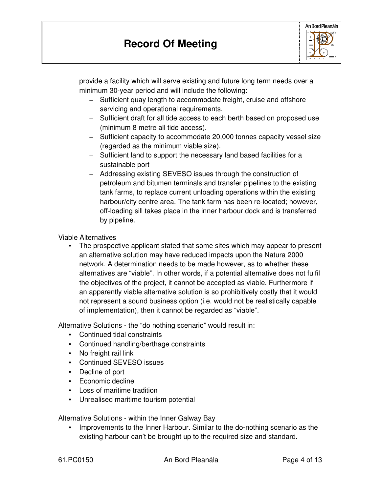

provide a facility which will serve existing and future long term needs over a minimum 30-year period and will include the following:

- Sufficient quay length to accommodate freight, cruise and offshore servicing and operational requirements.
- Sufficient draft for all tide access to each berth based on proposed use (minimum 8 metre all tide access).
- Sufficient capacity to accommodate 20,000 tonnes capacity vessel size (regarded as the minimum viable size).
- Sufficient land to support the necessary land based facilities for a sustainable port
- Addressing existing SEVESO issues through the construction of petroleum and bitumen terminals and transfer pipelines to the existing tank farms, to replace current unloading operations within the existing harbour/city centre area. The tank farm has been re-located; however, off-loading sill takes place in the inner harbour dock and is transferred by pipeline.

Viable Alternatives

• The prospective applicant stated that some sites which may appear to present an alternative solution may have reduced impacts upon the Natura 2000 network. A determination needs to be made however, as to whether these alternatives are "viable". In other words, if a potential alternative does not fulfil the objectives of the project, it cannot be accepted as viable. Furthermore if an apparently viable alternative solution is so prohibitively costly that it would not represent a sound business option (i.e. would not be realistically capable of implementation), then it cannot be regarded as "viable".

Alternative Solutions - the "do nothing scenario" would result in:

- Continued tidal constraints
- Continued handling/berthage constraints
- No freight rail link
- Continued SEVESO issues
- Decline of port
- Economic decline
- Loss of maritime tradition
- Unrealised maritime tourism potential

Alternative Solutions - within the Inner Galway Bay

• Improvements to the Inner Harbour. Similar to the do-nothing scenario as the existing harbour can't be brought up to the required size and standard.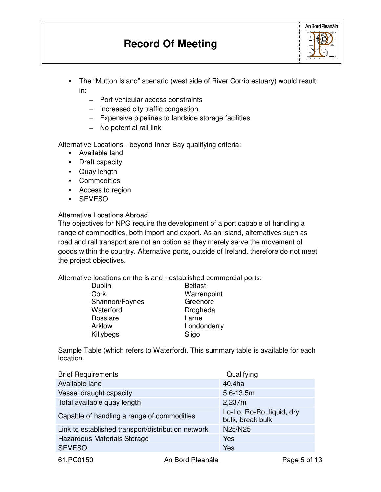# **Record Of Meeting**

| An Bord Pleanála |  |  |
|------------------|--|--|
|                  |  |  |

- The "Mutton Island" scenario (west side of River Corrib estuary) would result in:
	- Port vehicular access constraints
	- Increased city traffic congestion
	- Expensive pipelines to landside storage facilities
	- No potential rail link

Alternative Locations - beyond Inner Bay qualifying criteria:

- Available land
- Draft capacity
- Quay length
- Commodities
- Access to region
- SEVESO

# Alternative Locations Abroad

The objectives for NPG require the development of a port capable of handling a range of commodities, both import and export. As an island, alternatives such as road and rail transport are not an option as they merely serve the movement of goods within the country. Alternative ports, outside of Ireland, therefore do not meet the project objectives.

Alternative locations on the island - established commercial ports:

| Dublin         | <b>Belfast</b> |
|----------------|----------------|
| Cork           | Warrenpoint    |
| Shannon/Foynes | Greenore       |
| Waterford      | Drogheda       |
| Rosslare       | Larne          |
| Arklow         | Londonderry    |
| Killybegs      | Sligo          |
|                |                |

Sample Table (which refers to Waterford). This summary table is available for each location.

| <b>Brief Requirements</b>                          | Qualifying                                    |
|----------------------------------------------------|-----------------------------------------------|
| Available land                                     | 40.4ha                                        |
| Vessel draught capacity                            | $5.6 - 13.5m$                                 |
| Total available quay length                        | 2,237m                                        |
| Capable of handling a range of commodities         | Lo-Lo, Ro-Ro, liquid, dry<br>bulk, break bulk |
| Link to established transport/distribution network | N25/N25                                       |
| Hazardous Materials Storage                        | <b>Yes</b>                                    |
| <b>SEVESO</b>                                      | Yes                                           |
|                                                    |                                               |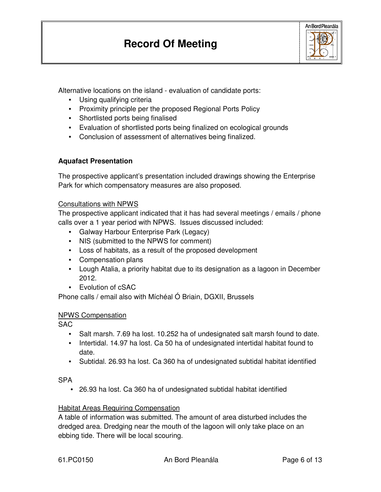

Alternative locations on the island - evaluation of candidate ports:

- Using qualifying criteria
- Proximity principle per the proposed Regional Ports Policy
- Shortlisted ports being finalised
- Evaluation of shortlisted ports being finalized on ecological grounds
- Conclusion of assessment of alternatives being finalized.

# **Aquafact Presentation**

The prospective applicant's presentation included drawings showing the Enterprise Park for which compensatory measures are also proposed.

#### Consultations with NPWS

The prospective applicant indicated that it has had several meetings / emails / phone calls over a 1 year period with NPWS. Issues discussed included:

- Galway Harbour Enterprise Park (Legacy)
- NIS (submitted to the NPWS for comment)
- Loss of habitats, as a result of the proposed development
- Compensation plans
- Lough Atalia, a priority habitat due to its designation as a lagoon in December 2012.
- Evolution of cSAC

Phone calls / email also with Míchéal Ó Briain, DGXII, Brussels

# NPWS Compensation

SAC

- Salt marsh. 7.69 ha lost. 10.252 ha of undesignated salt marsh found to date.
- Intertidal. 14.97 ha lost. Ca 50 ha of undesignated intertidal habitat found to date.
- Subtidal. 26.93 ha lost. Ca 360 ha of undesignated subtidal habitat identified

# **SPA**

• 26.93 ha lost. Ca 360 ha of undesignated subtidal habitat identified

# Habitat Areas Requiring Compensation

A table of information was submitted. The amount of area disturbed includes the dredged area. Dredging near the mouth of the lagoon will only take place on an ebbing tide. There will be local scouring.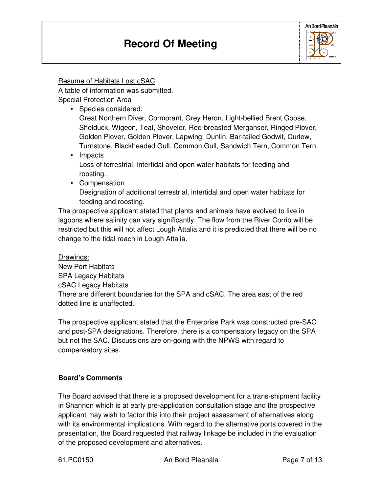

Resume of Habitats Lost cSAC

A table of information was submitted. Special Protection Area

• Species considered:

 Great Northern Diver, Cormorant, Grey Heron, Light-bellied Brent Goose, Shelduck, Wigeon, Teal, Shoveler, Red-breasted Merganser, Ringed Plover, Golden Plover, Golden Plover, Lapwing, Dunlin, Bar-tailed Godwit, Curlew, Turnstone, Blackheaded Gull, Common Gull, Sandwich Tern, Common Tern.

• Impacts Loss of terrestrial, intertidal and open water habitats for feeding and roosting.

• Compensation

 Designation of additional terrestrial, intertidal and open water habitats for feeding and roosting.

The prospective applicant stated that plants and animals have evolved to live in lagoons where salinity can vary significantly. The flow from the River Corrib will be restricted but this will not affect Lough Attalia and it is predicted that there will be no change to the tidal reach in Lough Attalia.

Drawings: New Port Habitats SPA Legacy Habitats cSAC Legacy Habitats There are different boundaries for the SPA and cSAC. The area east of the red dotted line is unaffected.

The prospective applicant stated that the Enterprise Park was constructed pre-SAC and post-SPA designations. Therefore, there is a compensatory legacy on the SPA but not the SAC. Discussions are on-going with the NPWS with regard to compensatory sites.

# **Board's Comments**

The Board advised that there is a proposed development for a trans-shipment facility in Shannon which is at early pre-application consultation stage and the prospective applicant may wish to factor this into their project assessment of alternatives along with its environmental implications. With regard to the alternative ports covered in the presentation, the Board requested that railway linkage be included in the evaluation of the proposed development and alternatives.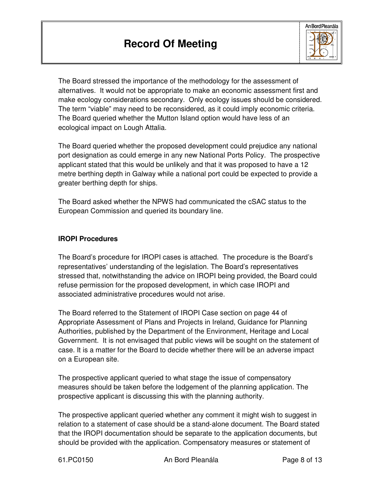

The Board stressed the importance of the methodology for the assessment of alternatives. It would not be appropriate to make an economic assessment first and make ecology considerations secondary. Only ecology issues should be considered. The term "viable" may need to be reconsidered, as it could imply economic criteria. The Board queried whether the Mutton Island option would have less of an ecological impact on Lough Attalia.

The Board queried whether the proposed development could prejudice any national port designation as could emerge in any new National Ports Policy. The prospective applicant stated that this would be unlikely and that it was proposed to have a 12 metre berthing depth in Galway while a national port could be expected to provide a greater berthing depth for ships.

The Board asked whether the NPWS had communicated the cSAC status to the European Commission and queried its boundary line.

# **IROPI Procedures**

The Board's procedure for IROPI cases is attached. The procedure is the Board's representatives' understanding of the legislation. The Board's representatives stressed that, notwithstanding the advice on IROPI being provided, the Board could refuse permission for the proposed development, in which case IROPI and associated administrative procedures would not arise.

The Board referred to the Statement of IROPI Case section on page 44 of Appropriate Assessment of Plans and Projects in Ireland, Guidance for Planning Authorities, published by the Department of the Environment, Heritage and Local Government. It is not envisaged that public views will be sought on the statement of case. It is a matter for the Board to decide whether there will be an adverse impact on a European site.

The prospective applicant queried to what stage the issue of compensatory measures should be taken before the lodgement of the planning application. The prospective applicant is discussing this with the planning authority.

The prospective applicant queried whether any comment it might wish to suggest in relation to a statement of case should be a stand-alone document. The Board stated that the IROPI documentation should be separate to the application documents, but should be provided with the application. Compensatory measures or statement of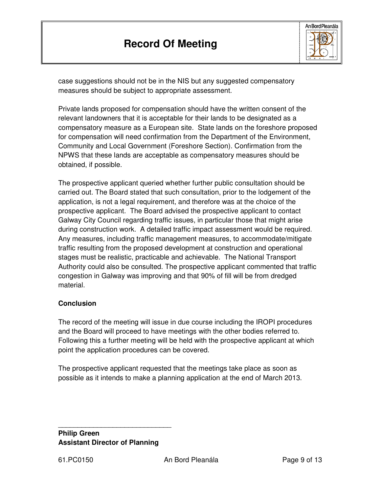

case suggestions should not be in the NIS but any suggested compensatory measures should be subject to appropriate assessment.

Private lands proposed for compensation should have the written consent of the relevant landowners that it is acceptable for their lands to be designated as a compensatory measure as a European site. State lands on the foreshore proposed for compensation will need confirmation from the Department of the Environment, Community and Local Government (Foreshore Section). Confirmation from the NPWS that these lands are acceptable as compensatory measures should be obtained, if possible.

The prospective applicant queried whether further public consultation should be carried out. The Board stated that such consultation, prior to the lodgement of the application, is not a legal requirement, and therefore was at the choice of the prospective applicant. The Board advised the prospective applicant to contact Galway City Council regarding traffic issues, in particular those that might arise during construction work. A detailed traffic impact assessment would be required. Any measures, including traffic management measures, to accommodate/mitigate traffic resulting from the proposed development at construction and operational stages must be realistic, practicable and achievable. The National Transport Authority could also be consulted. The prospective applicant commented that traffic congestion in Galway was improving and that 90% of fill will be from dredged material.

# **Conclusion**

The record of the meeting will issue in due course including the IROPI procedures and the Board will proceed to have meetings with the other bodies referred to. Following this a further meeting will be held with the prospective applicant at which point the application procedures can be covered.

The prospective applicant requested that the meetings take place as soon as possible as it intends to make a planning application at the end of March 2013.

# **Philip Green Assistant Director of Planning**

\_\_\_\_\_\_\_\_\_\_\_\_\_\_\_\_\_\_\_\_\_\_\_\_\_\_\_\_\_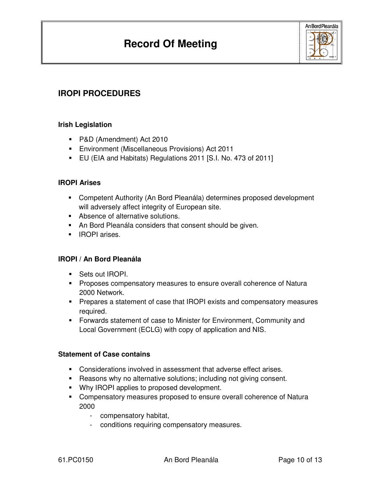

# **IROPI PROCEDURES**

# **Irish Legislation**

- P&D (Amendment) Act 2010
- Environment (Miscellaneous Provisions) Act 2011
- EU (EIA and Habitats) Regulations 2011 [S.I. No. 473 of 2011]

# **IROPI Arises**

- Competent Authority (An Bord Pleanála) determines proposed development will adversely affect integrity of European site.
- Absence of alternative solutions.
- An Bord Pleanála considers that consent should be given.
- **IROPI** arises.

# **IROPI / An Bord Pleanála**

- **Sets out IROPI.**
- **Proposes compensatory measures to ensure overall coherence of Natura** 2000 Network.
- Prepares a statement of case that IROPI exists and compensatory measures required.
- Forwards statement of case to Minister for Environment, Community and Local Government (ECLG) with copy of application and NIS.

# **Statement of Case contains**

- Considerations involved in assessment that adverse effect arises.
- Reasons why no alternative solutions; including not giving consent.
- Why IROPI applies to proposed development.
- Compensatory measures proposed to ensure overall coherence of Natura 2000
	- compensatory habitat,
	- conditions requiring compensatory measures.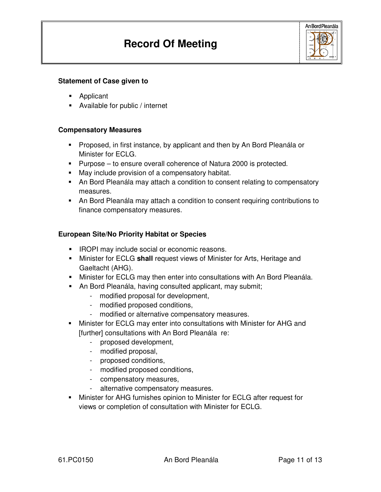

#### **Statement of Case given to**

- **-** Applicant
- Available for public / internet

#### **Compensatory Measures**

- **Proposed, in first instance, by applicant and then by An Bord Pleanála or** Minister for ECLG.
- **Purpose to ensure overall coherence of Natura 2000 is protected.**
- May include provision of a compensatory habitat.
- An Bord Pleanála may attach a condition to consent relating to compensatory measures.
- An Bord Pleanála may attach a condition to consent requiring contributions to finance compensatory measures.

#### **European Site/No Priority Habitat or Species**

- **IROPI may include social or economic reasons.**
- Minister for ECLG **shall** request views of Minister for Arts, Heritage and Gaeltacht (AHG).
- Minister for ECLG may then enter into consultations with An Bord Pleanála.
- An Bord Pleanála, having consulted applicant, may submit;
	- modified proposal for development,
	- modified proposed conditions,
	- modified or alternative compensatory measures.
- Minister for ECLG may enter into consultations with Minister for AHG and [further] consultations with An Bord Pleanála re:
	- proposed development,
	- modified proposal,
	- proposed conditions,
	- modified proposed conditions,
	- compensatory measures,
	- alternative compensatory measures.
- Minister for AHG furnishes opinion to Minister for ECLG after request for views or completion of consultation with Minister for ECLG.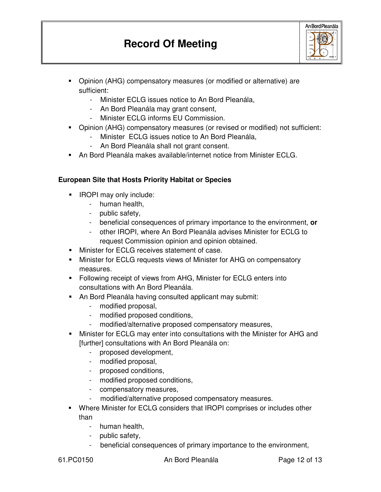# **Record Of Meeting**



- Opinion (AHG) compensatory measures (or modified or alternative) are sufficient:
	- Minister ECLG issues notice to An Bord Pleanála,
	- An Bord Pleanála may grant consent,
	- Minister ECLG informs EU Commission.
- Opinion (AHG) compensatory measures (or revised or modified) not sufficient:
	- Minister ECLG issues notice to An Bord Pleanála,
	- An Bord Pleanála shall not grant consent.
- An Bord Pleanála makes available/internet notice from Minister ECLG.

# **European Site that Hosts Priority Habitat or Species**

- **IROPI may only include:** 
	- human health,
	- public safety,
	- beneficial consequences of primary importance to the environment, **or**
	- other IROPI, where An Bord Pleanála advises Minister for ECLG to request Commission opinion and opinion obtained.
- **Minister for ECLG receives statement of case.**
- Minister for ECLG requests views of Minister for AHG on compensatory measures.
- Following receipt of views from AHG, Minister for ECLG enters into consultations with An Bord Pleanála.
- An Bord Pleanála having consulted applicant may submit:
	- modified proposal,
	- modified proposed conditions,
	- modified/alternative proposed compensatory measures,
- Minister for ECLG may enter into consultations with the Minister for AHG and [further] consultations with An Bord Pleanála on:
	- proposed development,
	- modified proposal,
	- proposed conditions,
	- modified proposed conditions,
	- compensatory measures,
	- modified/alternative proposed compensatory measures.
- Where Minister for ECLG considers that IROPI comprises or includes other than
	- human health,
	- public safety,
	- beneficial consequences of primary importance to the environment,